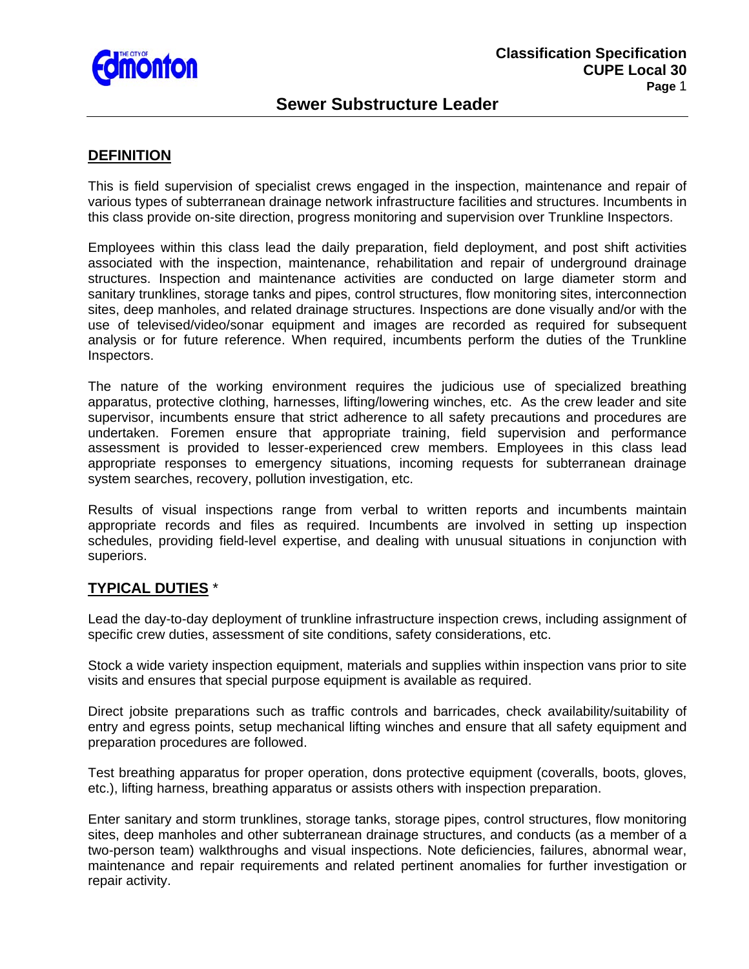

# **Sewer Substructure Leader**

#### **DEFINITION**

This is field supervision of specialist crews engaged in the inspection, maintenance and repair of various types of subterranean drainage network infrastructure facilities and structures. Incumbents in this class provide on-site direction, progress monitoring and supervision over Trunkline Inspectors.

Employees within this class lead the daily preparation, field deployment, and post shift activities associated with the inspection, maintenance, rehabilitation and repair of underground drainage structures. Inspection and maintenance activities are conducted on large diameter storm and sanitary trunklines, storage tanks and pipes, control structures, flow monitoring sites, interconnection sites, deep manholes, and related drainage structures. Inspections are done visually and/or with the use of televised/video/sonar equipment and images are recorded as required for subsequent analysis or for future reference. When required, incumbents perform the duties of the Trunkline Inspectors.

The nature of the working environment requires the judicious use of specialized breathing apparatus, protective clothing, harnesses, lifting/lowering winches, etc. As the crew leader and site supervisor, incumbents ensure that strict adherence to all safety precautions and procedures are undertaken. Foremen ensure that appropriate training, field supervision and performance assessment is provided to lesser-experienced crew members. Employees in this class lead appropriate responses to emergency situations, incoming requests for subterranean drainage system searches, recovery, pollution investigation, etc.

Results of visual inspections range from verbal to written reports and incumbents maintain appropriate records and files as required. Incumbents are involved in setting up inspection schedules, providing field-level expertise, and dealing with unusual situations in conjunction with superiors.

### **TYPICAL DUTIES** \*

Lead the day-to-day deployment of trunkline infrastructure inspection crews, including assignment of specific crew duties, assessment of site conditions, safety considerations, etc.

Stock a wide variety inspection equipment, materials and supplies within inspection vans prior to site visits and ensures that special purpose equipment is available as required.

Direct jobsite preparations such as traffic controls and barricades, check availability/suitability of entry and egress points, setup mechanical lifting winches and ensure that all safety equipment and preparation procedures are followed.

Test breathing apparatus for proper operation, dons protective equipment (coveralls, boots, gloves, etc.), lifting harness, breathing apparatus or assists others with inspection preparation.

Enter sanitary and storm trunklines, storage tanks, storage pipes, control structures, flow monitoring sites, deep manholes and other subterranean drainage structures, and conducts (as a member of a two-person team) walkthroughs and visual inspections. Note deficiencies, failures, abnormal wear, maintenance and repair requirements and related pertinent anomalies for further investigation or repair activity.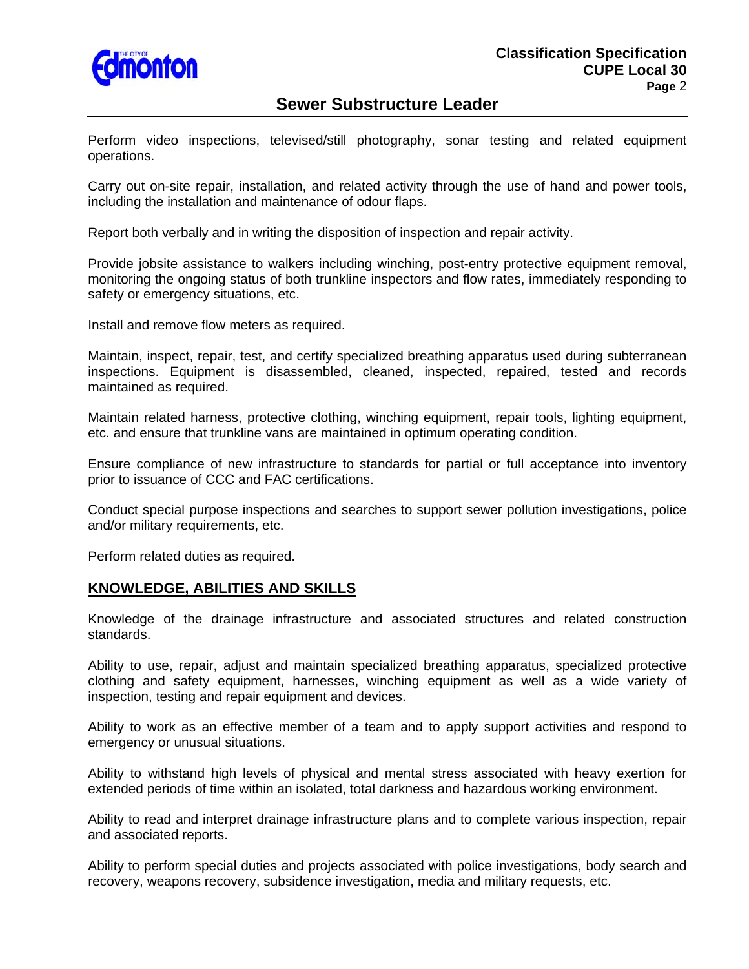

# **Sewer Substructure Leader**

Perform video inspections, televised/still photography, sonar testing and related equipment operations.

Carry out on-site repair, installation, and related activity through the use of hand and power tools, including the installation and maintenance of odour flaps.

Report both verbally and in writing the disposition of inspection and repair activity.

Provide jobsite assistance to walkers including winching, post-entry protective equipment removal, monitoring the ongoing status of both trunkline inspectors and flow rates, immediately responding to safety or emergency situations, etc.

Install and remove flow meters as required.

Maintain, inspect, repair, test, and certify specialized breathing apparatus used during subterranean inspections. Equipment is disassembled, cleaned, inspected, repaired, tested and records maintained as required.

Maintain related harness, protective clothing, winching equipment, repair tools, lighting equipment, etc. and ensure that trunkline vans are maintained in optimum operating condition.

Ensure compliance of new infrastructure to standards for partial or full acceptance into inventory prior to issuance of CCC and FAC certifications.

Conduct special purpose inspections and searches to support sewer pollution investigations, police and/or military requirements, etc.

Perform related duties as required.

### **KNOWLEDGE, ABILITIES AND SKILLS**

Knowledge of the drainage infrastructure and associated structures and related construction standards.

Ability to use, repair, adjust and maintain specialized breathing apparatus, specialized protective clothing and safety equipment, harnesses, winching equipment as well as a wide variety of inspection, testing and repair equipment and devices.

Ability to work as an effective member of a team and to apply support activities and respond to emergency or unusual situations.

Ability to withstand high levels of physical and mental stress associated with heavy exertion for extended periods of time within an isolated, total darkness and hazardous working environment.

Ability to read and interpret drainage infrastructure plans and to complete various inspection, repair and associated reports.

Ability to perform special duties and projects associated with police investigations, body search and recovery, weapons recovery, subsidence investigation, media and military requests, etc.